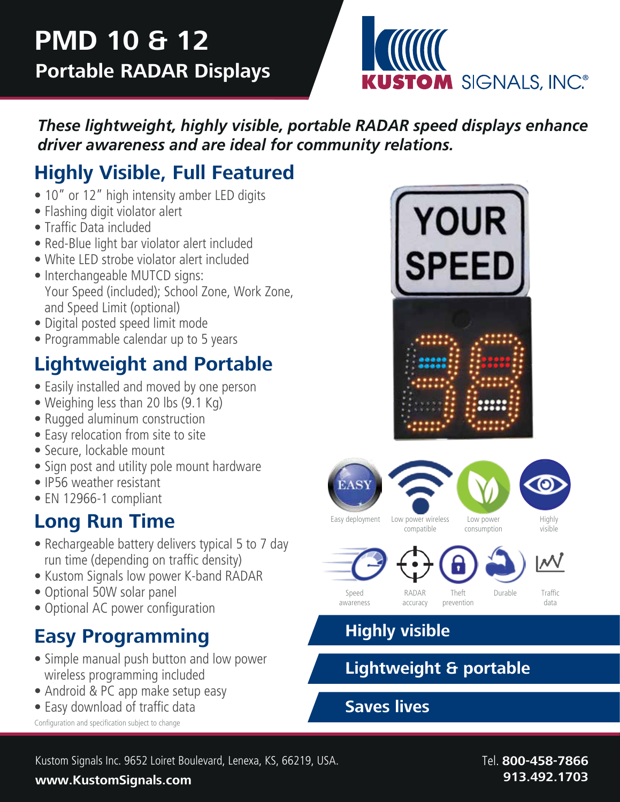

*These lightweight, highly visible, portable RADAR speed displays enhance driver awareness and are ideal for community relations.*

# **Highly Visible, Full Featured**

- 10" or 12" high intensity amber LED digits
- Flashing digit violator alert
- Traffic Data included
- Red-Blue light bar violator alert included
- White LED strobe violator alert included
- Interchangeable MUTCD signs: Your Speed (included); School Zone, Work Zone, and Speed Limit (optional)
- Digital posted speed limit mode
- Programmable calendar up to 5 years

# **Lightweight and Portable**

- Easily installed and moved by one person
- Weighing less than 20 lbs (9.1 Kg)
- Rugged aluminum construction
- Easy relocation from site to site
- Secure, lockable mount
- Sign post and utility pole mount hardware
- IP56 weather resistant
- EN 12966-1 compliant

## **Long Run Time**

- Rechargeable battery delivers typical 5 to 7 day run time (depending on traffic density)
- Kustom Signals low power K-band RADAR
- Optional 50W solar panel
- Optional AC power configuration

# **Easy Programming**

- Simple manual push button and low power wireless programming included
- Android & PC app make setup easy
- Easy download of traffic data

Configuration and specification subject to change







compatible







visible







accuracy



consumption



Speed awareness

prevention

data

## **Highly visible**

## **Lightweight & portable**

## **Saves lives**

Kustom Signals Inc. 9652 Loiret Boulevard, Lenexa, KS, 66219, USA. Tell. **800-458-7866** 

#### **www.KustomSignals.com 913.492.1703**